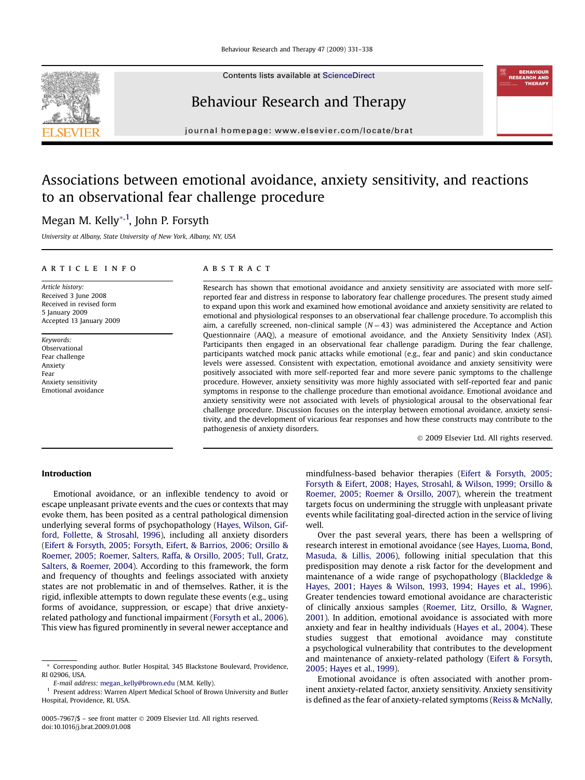

Contents lists available at [ScienceDirect](www.sciencedirect.com/science/journal/00057967)

## Behaviour Research and Therapy

journal homepage: [www.elsevier.com/locate/brat](http://www.elsevier.com/locate/brat)

# Associations between emotional avoidance, anxiety sensitivity, and reactions to an observational fear challenge procedure

### Megan M. Kelly\*<sup>,1</sup>, John P. Forsyth

University at Albany, State University of New York, Albany, NY, USA

#### article info

Article history: Received 3 June 2008 Received in revised form 5 January 2009 Accepted 13 January 2009

Keywords: Observational Fear challenge Anxiety Fear Anxiety sensitivity Emotional avoidance

#### **ABSTRACT**

Research has shown that emotional avoidance and anxiety sensitivity are associated with more selfreported fear and distress in response to laboratory fear challenge procedures. The present study aimed to expand upon this work and examined how emotional avoidance and anxiety sensitivity are related to emotional and physiological responses to an observational fear challenge procedure. To accomplish this aim, a carefully screened, non-clinical sample  $(N = 43)$  was administered the Acceptance and Action Questionnaire (AAQ), a measure of emotional avoidance, and the Anxiety Sensitivity Index (ASI). Participants then engaged in an observational fear challenge paradigm. During the fear challenge, participants watched mock panic attacks while emotional (e.g., fear and panic) and skin conductance levels were assessed. Consistent with expectation, emotional avoidance and anxiety sensitivity were positively associated with more self-reported fear and more severe panic symptoms to the challenge procedure. However, anxiety sensitivity was more highly associated with self-reported fear and panic symptoms in response to the challenge procedure than emotional avoidance. Emotional avoidance and anxiety sensitivity were not associated with levels of physiological arousal to the observational fear challenge procedure. Discussion focuses on the interplay between emotional avoidance, anxiety sensitivity, and the development of vicarious fear responses and how these constructs may contribute to the pathogenesis of anxiety disorders.

- 2009 Elsevier Ltd. All rights reserved.

#### Introduction

Emotional avoidance, or an inflexible tendency to avoid or escape unpleasant private events and the cues or contexts that may evoke them, has been posited as a central pathological dimension underlying several forms of psychopathology ([Hayes, Wilson, Gif](#page--1-0)[ford, Follette, & Strosahl, 1996](#page--1-0)), including all anxiety disorders ([Eifert & Forsyth, 2005; Forsyth, Eifert, & Barrios, 2006; Orsillo &](#page--1-0) [Roemer, 2005; Roemer, Salters, Raffa, & Orsillo, 2005; Tull, Gratz,](#page--1-0) [Salters, & Roemer, 2004](#page--1-0)). According to this framework, the form and frequency of thoughts and feelings associated with anxiety states are not problematic in and of themselves. Rather, it is the rigid, inflexible attempts to down regulate these events (e.g., using forms of avoidance, suppression, or escape) that drive anxietyrelated pathology and functional impairment [\(Forsyth et al., 2006\)](#page--1-0). This view has figured prominently in several newer acceptance and

mindfulness-based behavior therapies [\(Eifert & Forsyth, 2005;](#page--1-0) [Forsyth & Eifert, 2008; Hayes, Strosahl, & Wilson, 1999; Orsillo &](#page--1-0) [Roemer, 2005; Roemer & Orsillo, 2007](#page--1-0)), wherein the treatment targets focus on undermining the struggle with unpleasant private events while facilitating goal-directed action in the service of living well.

Over the past several years, there has been a wellspring of research interest in emotional avoidance (see [Hayes, Luoma, Bond,](#page--1-0) [Masuda, & Lillis, 2006](#page--1-0)), following initial speculation that this predisposition may denote a risk factor for the development and maintenance of a wide range of psychopathology ([Blackledge &](#page--1-0) [Hayes, 2001; Hayes & Wilson, 1993, 1994; Hayes et al., 1996\)](#page--1-0). Greater tendencies toward emotional avoidance are characteristic of clinically anxious samples [\(Roemer, Litz, Orsillo, & Wagner,](#page--1-0) [2001](#page--1-0)). In addition, emotional avoidance is associated with more anxiety and fear in healthy individuals [\(Hayes et al., 2004](#page--1-0)). These studies suggest that emotional avoidance may constitute a psychological vulnerability that contributes to the development and maintenance of anxiety-related pathology ([Eifert & Forsyth,](#page--1-0) [2005; Hayes et al., 1999\)](#page--1-0).

Emotional avoidance is often associated with another prominent anxiety-related factor, anxiety sensitivity. Anxiety sensitivity is defined as the fear of anxiety-related symptoms [\(Reiss & McNally,](#page--1-0)

<sup>\*</sup> Corresponding author. Butler Hospital, 345 Blackstone Boulevard, Providence, RI 02906, USA.

E-mail address: [megan\\_kelly@brown.edu](mailto:megan_kelly@brown.edu) (M.M. Kelly).

Present address: Warren Alpert Medical School of Brown University and Butler Hospital, Providence, RI, USA.

<sup>0005-7967/\$ –</sup> see front matter © 2009 Elsevier Ltd. All rights reserved. doi:10.1016/j.brat.2009.01.008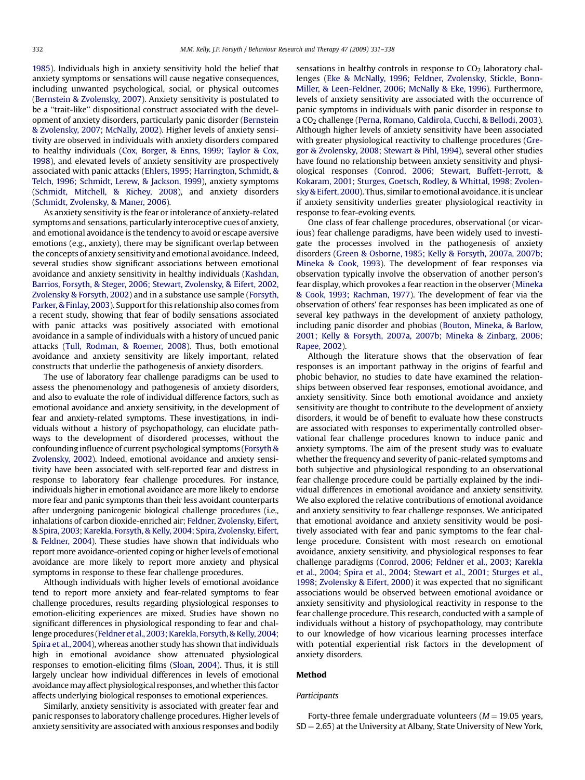[1985](#page--1-0)). Individuals high in anxiety sensitivity hold the belief that anxiety symptoms or sensations will cause negative consequences, including unwanted psychological, social, or physical outcomes ([Bernstein & Zvolensky, 2007](#page--1-0)). Anxiety sensitivity is postulated to be a ''trait-like'' dispositional construct associated with the development of anxiety disorders, particularly panic disorder ([Bernstein](#page--1-0) [& Zvolensky, 2007; McNally, 2002\)](#page--1-0). Higher levels of anxiety sensitivity are observed in individuals with anxiety disorders compared to healthy individuals [\(Cox, Borger, & Enns, 1999; Taylor & Cox,](#page--1-0) [1998](#page--1-0)), and elevated levels of anxiety sensitivity are prospectively associated with panic attacks [\(Ehlers, 1995; Harrington, Schmidt, &](#page--1-0) [Telch, 1996; Schmidt, Lerew, & Jackson, 1999](#page--1-0)), anxiety symptoms ([Schmidt, Mitchell, & Richey, 2008](#page--1-0)), and anxiety disorders ([Schmidt, Zvolensky, & Maner, 2006](#page--1-0)).

As anxiety sensitivity is the fear or intolerance of anxiety-related symptoms and sensations, particularly interoceptive cues of anxiety, and emotional avoidance is the tendency to avoid or escape aversive emotions (e.g., anxiety), there may be significant overlap between the concepts of anxiety sensitivity and emotional avoidance. Indeed, several studies show significant associations between emotional avoidance and anxiety sensitivity in healthy individuals ([Kashdan,](#page--1-0) [Barrios, Forsyth, & Steger, 2006; Stewart, Zvolensky, & Eifert, 2002,](#page--1-0) [Zvolensky & Forsyth, 2002](#page--1-0)) and in a substance use sample ([Forsyth,](#page--1-0) [Parker, & Finlay, 2003\)](#page--1-0). Support for this relationship also comes from a recent study, showing that fear of bodily sensations associated with panic attacks was positively associated with emotional avoidance in a sample of individuals with a history of uncued panic attacks ([Tull, Rodman, & Roemer, 2008\)](#page--1-0). Thus, both emotional avoidance and anxiety sensitivity are likely important, related constructs that underlie the pathogenesis of anxiety disorders.

The use of laboratory fear challenge paradigms can be used to assess the phenomenology and pathogenesis of anxiety disorders, and also to evaluate the role of individual difference factors, such as emotional avoidance and anxiety sensitivity, in the development of fear and anxiety-related symptoms. These investigations, in individuals without a history of psychopathology, can elucidate pathways to the development of disordered processes, without the confounding influence of current psychological symptoms [\(Forsyth &](#page--1-0) [Zvolensky, 2002\)](#page--1-0). Indeed, emotional avoidance and anxiety sensitivity have been associated with self-reported fear and distress in response to laboratory fear challenge procedures. For instance, individuals higher in emotional avoidance are more likely to endorse more fear and panic symptoms than their less avoidant counterparts after undergoing panicogenic biological challenge procedures (i.e., inhalations of carbon dioxide-enriched air; [Feldner, Zvolensky, Eifert,](#page--1-0) [& Spira, 2003; Karekla, Forsyth, & Kelly, 2004; Spira, Zvolensky, Eifert,](#page--1-0) [& Feldner, 2004](#page--1-0)). These studies have shown that individuals who report more avoidance-oriented coping or higher levels of emotional avoidance are more likely to report more anxiety and physical symptoms in response to these fear challenge procedures.

Although individuals with higher levels of emotional avoidance tend to report more anxiety and fear-related symptoms to fear challenge procedures, results regarding physiological responses to emotion-eliciting experiences are mixed. Studies have shown no significant differences in physiological responding to fear and challenge procedures ([Feldner et al., 2003; Karekla, Forsyth, & Kelly, 2004;](#page--1-0) [Spira et al., 2004](#page--1-0)), whereas another study has shown that individuals high in emotional avoidance show attenuated physiological responses to emotion-eliciting films [\(Sloan, 2004\)](#page--1-0). Thus, it is still largely unclear how individual differences in levels of emotional avoidance may affect physiological responses, and whether this factor affects underlying biological responses to emotional experiences.

Similarly, anxiety sensitivity is associated with greater fear and panic responses to laboratory challenge procedures. Higher levels of anxiety sensitivity are associated with anxious responses and bodily sensations in healthy controls in response to  $CO<sub>2</sub>$  laboratory challenges ([Eke & McNally, 1996; Feldner, Zvolensky, Stickle, Bonn-](#page--1-0)[Miller, & Leen-Feldner, 2006; McNally & Eke, 1996](#page--1-0)). Furthermore, levels of anxiety sensitivity are associated with the occurrence of panic symptoms in individuals with panic disorder in response to a CO2 challenge ([Perna, Romano, Caldirola, Cucchi, & Bellodi, 2003\)](#page--1-0). Although higher levels of anxiety sensitivity have been associated with greater physiological reactivity to challenge procedures [\(Gre](#page--1-0)[gor & Zvolensky, 2008; Stewart & Pihl, 1994](#page--1-0)), several other studies have found no relationship between anxiety sensitivity and physiological responses [\(Conrod, 2006; Stewart, Buffett-Jerrott, &](#page--1-0) [Kokaram, 2001; Sturges, Goetsch, Rodley, & Whittal, 1998; Zvolen](#page--1-0)[sky & Eifert, 2000](#page--1-0)). Thus, similar to emotional avoidance, it is unclear if anxiety sensitivity underlies greater physiological reactivity in response to fear-evoking events.

One class of fear challenge procedures, observational (or vicarious) fear challenge paradigms, have been widely used to investigate the processes involved in the pathogenesis of anxiety disorders ([Green & Osborne, 1985; Kelly & Forsyth, 2007a, 2007b;](#page--1-0) [Mineka & Cook, 1993\)](#page--1-0). The development of fear responses via observation typically involve the observation of another person's fear display, which provokes a fear reaction in the observer ([Mineka](#page--1-0) [& Cook, 1993; Rachman, 1977\)](#page--1-0). The development of fear via the observation of others' fear responses has been implicated as one of several key pathways in the development of anxiety pathology, including panic disorder and phobias ([Bouton, Mineka, & Barlow,](#page--1-0) [2001; Kelly & Forsyth, 2007a, 2007b; Mineka & Zinbarg, 2006;](#page--1-0) [Rapee, 2002](#page--1-0)).

Although the literature shows that the observation of fear responses is an important pathway in the origins of fearful and phobic behavior, no studies to date have examined the relationships between observed fear responses, emotional avoidance, and anxiety sensitivity. Since both emotional avoidance and anxiety sensitivity are thought to contribute to the development of anxiety disorders, it would be of benefit to evaluate how these constructs are associated with responses to experimentally controlled observational fear challenge procedures known to induce panic and anxiety symptoms. The aim of the present study was to evaluate whether the frequency and severity of panic-related symptoms and both subjective and physiological responding to an observational fear challenge procedure could be partially explained by the individual differences in emotional avoidance and anxiety sensitivity. We also explored the relative contributions of emotional avoidance and anxiety sensitivity to fear challenge responses. We anticipated that emotional avoidance and anxiety sensitivity would be positively associated with fear and panic symptoms to the fear challenge procedure. Consistent with most research on emotional avoidance, anxiety sensitivity, and physiological responses to fear challenge paradigms ([Conrod, 2006; Feldner et al., 2003; Karekla](#page--1-0) [et al., 2004; Spira et al., 2004; Stewart et al., 2001; Sturges et al.,](#page--1-0) [1998; Zvolensky & Eifert, 2000\)](#page--1-0) it was expected that no significant associations would be observed between emotional avoidance or anxiety sensitivity and physiological reactivity in response to the fear challenge procedure. This research, conducted with a sample of individuals without a history of psychopathology, may contribute to our knowledge of how vicarious learning processes interface with potential experiential risk factors in the development of anxiety disorders.

#### Method

#### Participants

Forty-three female undergraduate volunteers ( $M = 19.05$  years,  $SD = 2.65$ ) at the University at Albany, State University of New York,